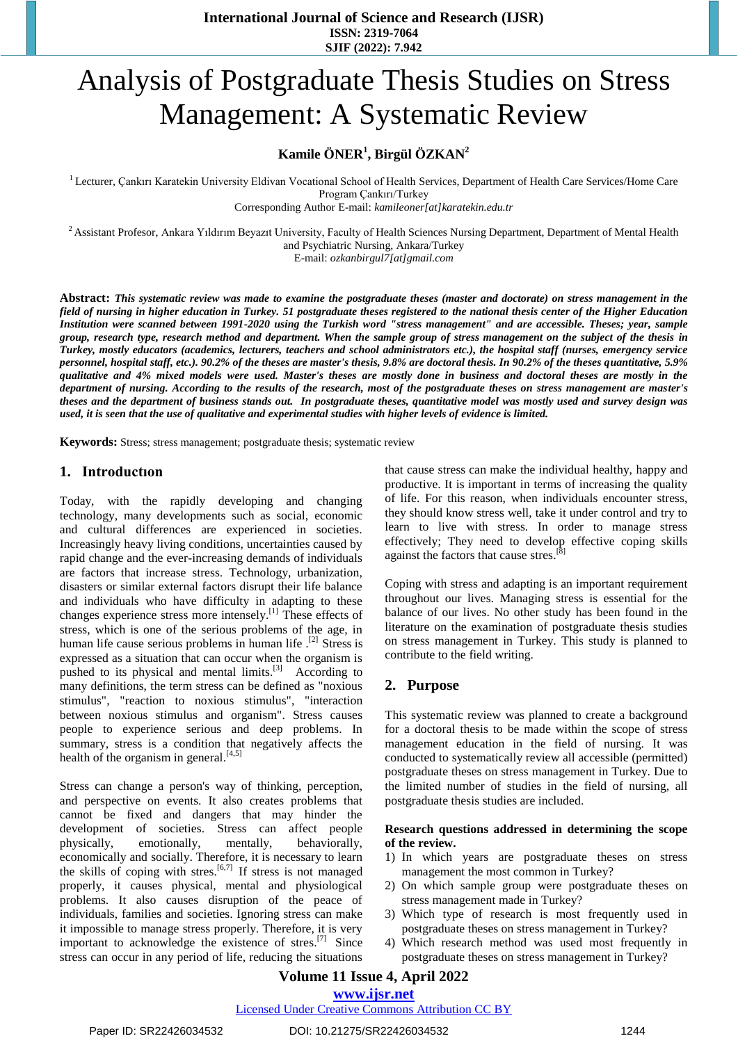**International Journal of Science and Research (IJSR) ISSN: 2319-7064 SJIF (2022): 7.942**

# Analysis of Postgraduate Thesis Studies on Stress Management: A Systematic Review

# **Kamile ÖNER<sup>1</sup> , Birgül ÖZKAN<sup>2</sup>**

<sup>1</sup> Lecturer, Çankırı Karatekin University Eldivan Vocational School of Health Services, Department of Health Care Services/Home Care Program Çankırı/Turkey

Corresponding Author E-mail: *[kamileoner\[at\]karatekin.edu.tr](mailto:kamileoner@karatekin.edu.tr)*

<sup>2</sup> Assistant Profesor, Ankara Yıldırım Beyazıt University, Faculty of Health Sciences Nursing Department, Department of Mental Health and Psychiatric Nursing, Ankara/Turkey E-mail: *[ozkanbirgul7\[at\]gmail.com](mailto:ozkanbirgul7@gmail.com)*

**Abstract:** *This systematic review was made to examine the postgraduate theses (master and doctorate) on stress management in the field of nursing in higher education in Turkey. 51 postgraduate theses registered to the national thesis center of the Higher Education Institution were scanned between 1991-2020 using the Turkish word "stress management" and are accessible. Theses; year, sample group, research type, research method and department. When the sample group of stress management on the subject of the thesis in Turkey, mostly educators (academics, lecturers, teachers and school administrators etc.), the hospital staff (nurses, emergency service personnel, hospital staff, etc.). 90.2% of the theses are master's thesis, 9.8% are doctoral thesis. In 90.2% of the theses quantitative, 5.9% qualitative and 4% mixed models were used. Master's theses are mostly done in business and doctoral theses are mostly in the department of nursing. According to the results of the research, most of the postgraduate theses on stress management are master's theses and the department of business stands out. In postgraduate theses, quantitative model was mostly used and survey design was used, it is seen that the use of qualitative and experimental studies with higher levels of evidence is limited.*

**Keywords:** Stress; stress management; postgraduate thesis; systematic review

#### **1. Introductıon**

Today, with the rapidly developing and changing technology, many developments such as social, economic and cultural differences are experienced in societies. Increasingly heavy living conditions, uncertainties caused by rapid change and the ever-increasing demands of individuals are factors that increase stress. Technology, urbanization, disasters or similar external factors disrupt their life balance and individuals who have difficulty in adapting to these changes experience stress more intensely.<sup>[1]</sup> These effects of stress, which is one of the serious problems of the age, in human life cause serious problems in human life .<sup>[2]</sup> Stress is expressed as a situation that can occur when the organism is pushed to its physical and mental limits.<sup>[3]</sup> According to many definitions, the term stress can be defined as "noxious stimulus", "reaction to noxious stimulus", "interaction between noxious stimulus and organism". Stress causes people to experience serious and deep problems. In summary, stress is a condition that negatively affects the health of the organism in general.<sup>[4,5]</sup>

Stress can change a person's way of thinking, perception, and perspective on events. It also creates problems that cannot be fixed and dangers that may hinder the development of societies. Stress can affect people physically, emotionally, mentally, behaviorally, economically and socially. Therefore, it is necessary to learn the skills of coping with stres.<sup>[6,7]</sup> If stress is not managed properly, it causes physical, mental and physiological problems. It also causes disruption of the peace of individuals, families and societies. Ignoring stress can make it impossible to manage stress properly. Therefore, it is very important to acknowledge the existence of stres.<sup>[7]</sup> Since stress can occur in any period of life, reducing the situations

that cause stress can make the individual healthy, happy and productive. It is important in terms of increasing the quality of life. For this reason, when individuals encounter stress, they should know stress well, take it under control and try to learn to live with stress. In order to manage stress effectively; They need to develop effective coping skills against the factors that cause stres.<sup>[8]</sup>

Coping with stress and adapting is an important requirement throughout our lives. Managing stress is essential for the balance of our lives. No other study has been found in the literature on the examination of postgraduate thesis studies on stress management in Turkey. This study is planned to contribute to the field writing.

#### **2. Purpose**

This systematic review was planned to create a background for a doctoral thesis to be made within the scope of stress management education in the field of nursing. It was conducted to systematically review all accessible (permitted) postgraduate theses on stress management in Turkey. Due to the limited number of studies in the field of nursing, all postgraduate thesis studies are included.

#### **Research questions addressed in determining the scope of the review.**

- 1) In which years are postgraduate theses on stress management the most common in Turkey?
- 2) On which sample group were postgraduate theses on stress management made in Turkey?
- 3) Which type of research is most frequently used in postgraduate theses on stress management in Turkey?
- 4) Which research method was used most frequently in postgraduate theses on stress management in Turkey?

## **Volume 11 Issue 4, April 2022 www.ijsr.net**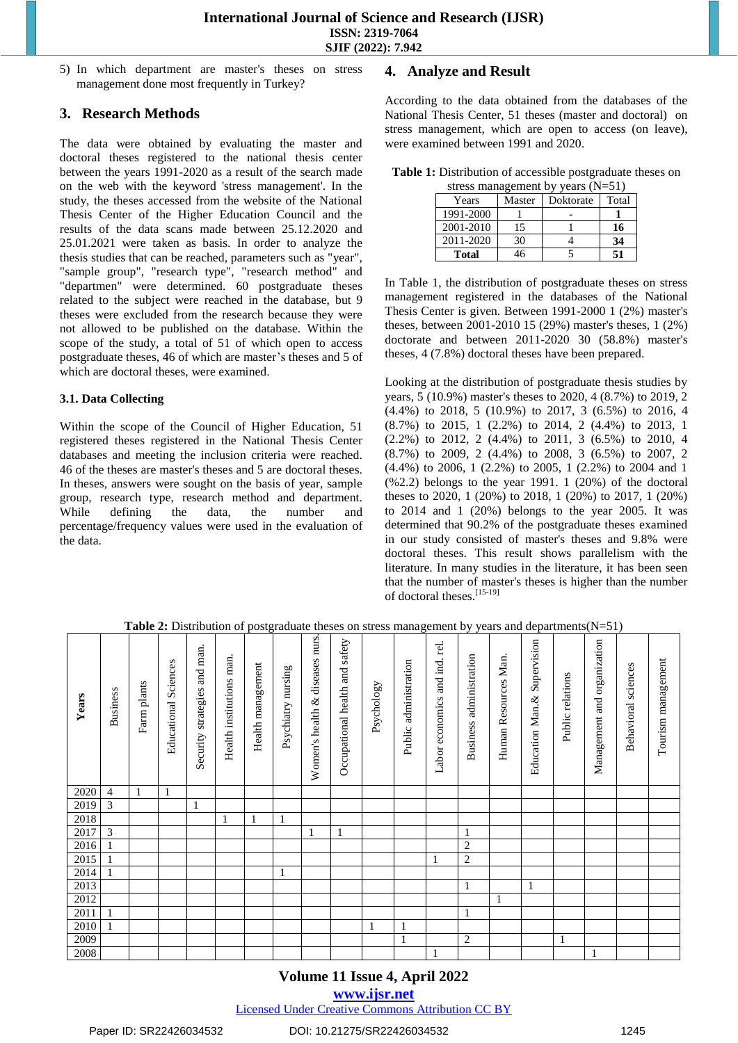5) In which department are master's theses on stress management done most frequently in Turkey?

## **3. Research Methods**

The data were obtained by evaluating the master and doctoral theses registered to the national thesis center between the years 1991-2020 as a result of the search made on the web with the keyword 'stress management'. In the study, the theses accessed from the website of the National Thesis Center of the Higher Education Council and the results of the data scans made between 25.12.2020 and 25.01.2021 were taken as basis. In order to analyze the thesis studies that can be reached, parameters such as "year", "sample group", "research type", "research method" and "departmen" were determined. 60 postgraduate theses related to the subject were reached in the database, but 9 theses were excluded from the research because they were not allowed to be published on the database. Within the scope of the study, a total of 51 of which open to access postgraduate theses, 46 of which are master's theses and 5 of which are doctoral theses, were examined.

#### **3.1. Data Collecting**

Within the scope of the Council of Higher Education, 51 registered theses registered in the National Thesis Center databases and meeting the inclusion criteria were reached. 46 of the theses are master's theses and 5 are doctoral theses. In theses, answers were sought on the basis of year, sample group, research type, research method and department. While defining the data, the number and percentage/frequency values were used in the evaluation of the data.

# **4. Analyze and Result**

According to the data obtained from the databases of the National Thesis Center, 51 theses (master and doctoral) on stress management, which are open to access (on leave), were examined between 1991 and 2020.

**Table 1:** Distribution of accessible postgraduate theses on

| stress management by years $(N=51)$ |                     |  |    |  |  |  |  |  |  |
|-------------------------------------|---------------------|--|----|--|--|--|--|--|--|
| Years                               | Doktorate<br>Master |  |    |  |  |  |  |  |  |
| 1991-2000                           |                     |  |    |  |  |  |  |  |  |
| 2001-2010                           | 15                  |  | 16 |  |  |  |  |  |  |
| 2011-2020                           | 30                  |  | 34 |  |  |  |  |  |  |
| Total                               | 16                  |  | 51 |  |  |  |  |  |  |

In Table 1, the distribution of postgraduate theses on stress management registered in the databases of the National Thesis Center is given. Between 1991-2000 1 (2%) master's theses, between 2001-2010 15 (29%) master's theses, 1 (2%) doctorate and between 2011-2020 30 (58.8%) master's theses, 4 (7.8%) doctoral theses have been prepared.

Looking at the distribution of postgraduate thesis studies by years, 5 (10.9%) master's theses to 2020, 4 (8.7%) to 2019, 2 (4.4%) to 2018, 5 (10.9%) to 2017, 3 (6.5%) to 2016, 4 (8.7%) to 2015, 1 (2.2%) to 2014, 2 (4.4%) to 2013, 1 (2.2%) to 2012, 2 (4.4%) to 2011, 3 (6.5%) to 2010, 4 (8.7%) to 2009, 2 (4.4%) to 2008, 3 (6.5%) to 2007, 2 (4.4%) to 2006, 1 (2.2%) to 2005, 1 (2.2%) to 2004 and 1  $(\%2.2)$  belongs to the year 1991. 1  $(20\%)$  of the doctoral theses to 2020, 1 (20%) to 2018, 1 (20%) to 2017, 1 (20%) to 2014 and 1 (20%) belongs to the year 2005. It was determined that 90.2% of the postgraduate theses examined in our study consisted of master's theses and 9.8% were doctoral theses. This result shows parallelism with the literature. In many studies in the literature, it has been seen that the number of master's theses is higher than the number of doctoral theses. [15-19]

| Years | <b>Business</b> | plants<br>Farm | Sciences<br>Educational | and man.<br>strategies<br>Security | Health institutions man | Health management | nursing<br>Psychiatry | diseases nurs.<br>$\infty$<br>Women's health | Occupational health and safety | Psychology | Public administration | and ind. rel.<br>Labor economics | administration<br><b>Business</b> | Man.<br>Human Resources | Supervision<br>Education Man.& | relations<br>Public | organization<br>and<br>Management | sciences<br>Behavioral | Tourism management |
|-------|-----------------|----------------|-------------------------|------------------------------------|-------------------------|-------------------|-----------------------|----------------------------------------------|--------------------------------|------------|-----------------------|----------------------------------|-----------------------------------|-------------------------|--------------------------------|---------------------|-----------------------------------|------------------------|--------------------|
| 2020  | 4               | $\mathbf{1}$   | $\mathbf{1}$            |                                    |                         |                   |                       |                                              |                                |            |                       |                                  |                                   |                         |                                |                     |                                   |                        |                    |
| 2019  | 3               |                |                         | 1                                  |                         |                   |                       |                                              |                                |            |                       |                                  |                                   |                         |                                |                     |                                   |                        |                    |
| 2018  |                 |                |                         |                                    | 1                       | $\mathbf{1}$      | 1                     |                                              |                                |            |                       |                                  |                                   |                         |                                |                     |                                   |                        |                    |
| 2017  | 3               |                |                         |                                    |                         |                   |                       | 1                                            | 1                              |            |                       |                                  | 1                                 |                         |                                |                     |                                   |                        |                    |
| 2016  | $\mathbf{1}$    |                |                         |                                    |                         |                   |                       |                                              |                                |            |                       |                                  | 2                                 |                         |                                |                     |                                   |                        |                    |
| 2015  | $\mathbf{1}$    |                |                         |                                    |                         |                   |                       |                                              |                                |            |                       | 1                                | $\overline{c}$                    |                         |                                |                     |                                   |                        |                    |
| 2014  | $\mathbf{1}$    |                |                         |                                    |                         |                   | $\mathbf{1}$          |                                              |                                |            |                       |                                  |                                   |                         |                                |                     |                                   |                        |                    |
| 2013  |                 |                |                         |                                    |                         |                   |                       |                                              |                                |            |                       |                                  | 1                                 |                         | 1                              |                     |                                   |                        |                    |
| 2012  |                 |                |                         |                                    |                         |                   |                       |                                              |                                |            |                       |                                  |                                   | 1                       |                                |                     |                                   |                        |                    |
| 2011  | 1               |                |                         |                                    |                         |                   |                       |                                              |                                |            |                       |                                  | 1                                 |                         |                                |                     |                                   |                        |                    |
| 2010  | 1               |                |                         |                                    |                         |                   |                       |                                              |                                |            | $\mathbf{1}$          |                                  |                                   |                         |                                |                     |                                   |                        |                    |
| 2009  |                 |                |                         |                                    |                         |                   |                       |                                              |                                |            | $\mathbf{1}$          |                                  | $\overline{2}$                    |                         |                                | 1                   |                                   |                        |                    |
| 2008  |                 |                |                         |                                    |                         |                   |                       |                                              |                                |            |                       | 1                                |                                   |                         |                                |                     | 1                                 |                        |                    |

**Table 2:** Distribution of postgraduate theses on stress management by years and departments(N=51)

## **Volume 11 Issue 4, April 2022**

#### **www.ijsr.net**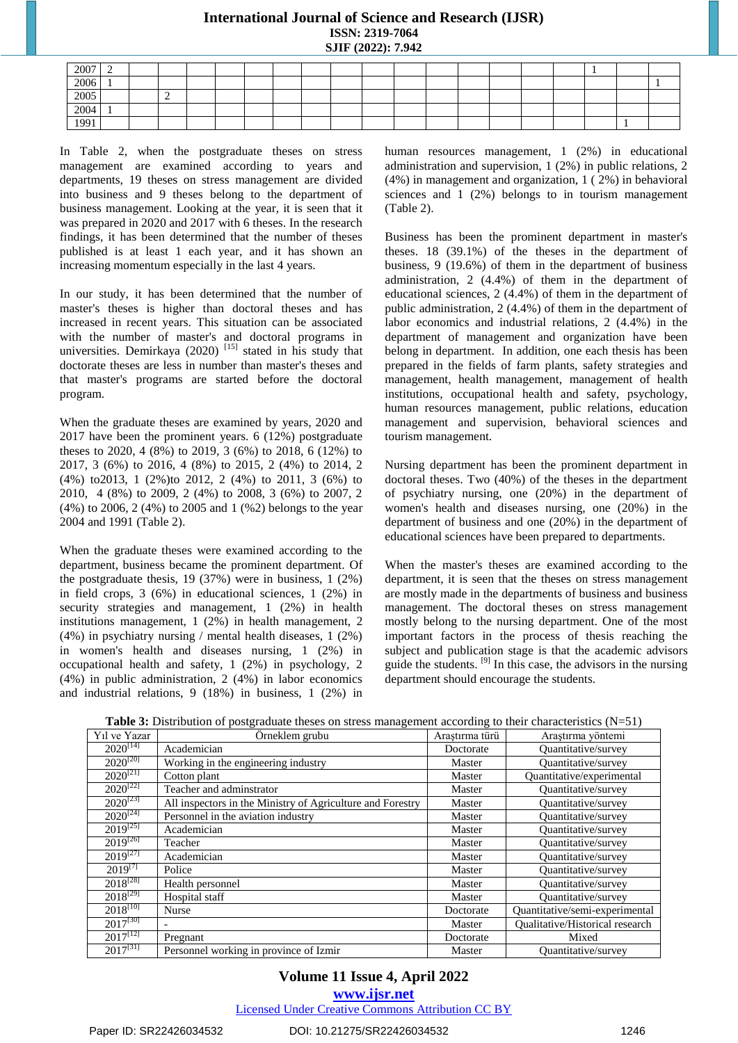## **International Journal of Science and Research (IJSR) ISSN: 2319-7064 SJIF (2022): 7.942**

| 2007 | ∽<br>- |   |  |  |  |  |  |  |  |  |
|------|--------|---|--|--|--|--|--|--|--|--|
| 2006 |        |   |  |  |  |  |  |  |  |  |
| 2005 |        | - |  |  |  |  |  |  |  |  |
| 2004 |        |   |  |  |  |  |  |  |  |  |
| 1991 |        |   |  |  |  |  |  |  |  |  |

In Table 2, when the postgraduate theses on stress management are examined according to years and departments, 19 theses on stress management are divided into business and 9 theses belong to the department of business management. Looking at the year, it is seen that it was prepared in 2020 and 2017 with 6 theses. In the research findings, it has been determined that the number of theses published is at least 1 each year, and it has shown an increasing momentum especially in the last 4 years.

In our study, it has been determined that the number of master's theses is higher than doctoral theses and has increased in recent years. This situation can be associated with the number of master's and doctoral programs in universities. Demirkaya (2020)<sup>[15]</sup> stated in his study that doctorate theses are less in number than master's theses and that master's programs are started before the doctoral program.

When the graduate theses are examined by years, 2020 and 2017 have been the prominent years. 6 (12%) postgraduate theses to 2020, 4 (8%) to 2019, 3 (6%) to 2018, 6 (12%) to 2017, 3 (6%) to 2016, 4 (8%) to 2015, 2 (4%) to 2014, 2 (4%) to2013, 1 (2%)to 2012, 2 (4%) to 2011, 3 (6%) to 2010, 4 (8%) to 2009, 2 (4%) to 2008, 3 (6%) to 2007, 2 (4%) to 2006, 2 (4%) to 2005 and 1 (%2) belongs to the year 2004 and 1991 (Table 2).

When the graduate theses were examined according to the department, business became the prominent department. Of the postgraduate thesis, 19 (37%) were in business, 1 (2%) in field crops, 3 (6%) in educational sciences, 1 (2%) in security strategies and management, 1 (2%) in health institutions management, 1 (2%) in health management, 2 (4%) in psychiatry nursing / mental health diseases, 1 (2%) in women's health and diseases nursing, 1 (2%) in occupational health and safety, 1 (2%) in psychology, 2 (4%) in public administration, 2 (4%) in labor economics and industrial relations, 9 (18%) in business, 1 (2%) in

human resources management, 1 (2%) in educational administration and supervision, 1 (2%) in public relations, 2 (4%) in management and organization, 1 ( 2%) in behavioral sciences and 1 (2%) belongs to in tourism management (Table 2).

Business has been the prominent department in master's theses. 18 (39.1%) of the theses in the department of business, 9 (19.6%) of them in the department of business administration, 2 (4.4%) of them in the department of educational sciences, 2 (4.4%) of them in the department of public administration, 2 (4.4%) of them in the department of labor economics and industrial relations, 2 (4.4%) in the department of management and organization have been belong in department. In addition, one each thesis has been prepared in the fields of farm plants, safety strategies and management, health management, management of health institutions, occupational health and safety, psychology, human resources management, public relations, education management and supervision, behavioral sciences and tourism management.

Nursing department has been the prominent department in doctoral theses. Two (40%) of the theses in the department of psychiatry nursing, one (20%) in the department of women's health and diseases nursing, one (20%) in the department of business and one (20%) in the department of educational sciences have been prepared to departments.

When the master's theses are examined according to the department, it is seen that the theses on stress management are mostly made in the departments of business and business management. The doctoral theses on stress management mostly belong to the nursing department. One of the most important factors in the process of thesis reaching the subject and publication stage is that the academic advisors guide the students. [9] In this case, the advisors in the nursing department should encourage the students.

| Y <sub>1</sub> l ve Yazar | Örneklem grubu                                             | Araştırma türü | Araştırma yöntemi               |
|---------------------------|------------------------------------------------------------|----------------|---------------------------------|
| $2020^{[14]}$             | Academician                                                | Doctorate      | <b>Ouantitative/survey</b>      |
| $2020^{[20]}$             | Working in the engineering industry                        | Master         | Ouantitative/survey             |
| $2020^{[21]}$             | Cotton plant                                               | Master         | Quantitative/experimental       |
| $2020^{[22]}$             | Teacher and adminstrator                                   | Master         | <b>Ouantitative/survey</b>      |
| $2020^{[23]}$             | All inspectors in the Ministry of Agriculture and Forestry | Master         | Quantitative/survey             |
| $2020^{[24]}$             | Personnel in the aviation industry                         | Master         | Quantitative/survey             |
| $2019^{[25]}$             | Academician                                                | Master         | Quantitative/survey             |
| $2019^{[26]}$             | Teacher                                                    | Master         | Quantitative/survey             |
| $2019^{[27]}$             | Academician                                                | Master         | Quantitative/survey             |
| $2019^{[7]}$              | Police                                                     | Master         | Quantitative/survey             |
| $2018^{[28]}$             | Health personnel                                           | Master         | Quantitative/survey             |
| $2018^{[29]}$             | Hospital staff                                             | Master         | Quantitative/survey             |
| $2018^{[10]}$             | Nurse                                                      | Doctorate      | Quantitative/semi-experimental  |
| $2017^{[30]}$             |                                                            | Master         | Qualitative/Historical research |
| $2017^{[12]}$             | Pregnant                                                   | Doctorate      | Mixed                           |
| $2017^{[31]}$             | Personnel working in province of Izmir                     | Master         | Quantitative/survey             |

**Volume 11 Issue 4, April 2022**

**www.ijsr.net**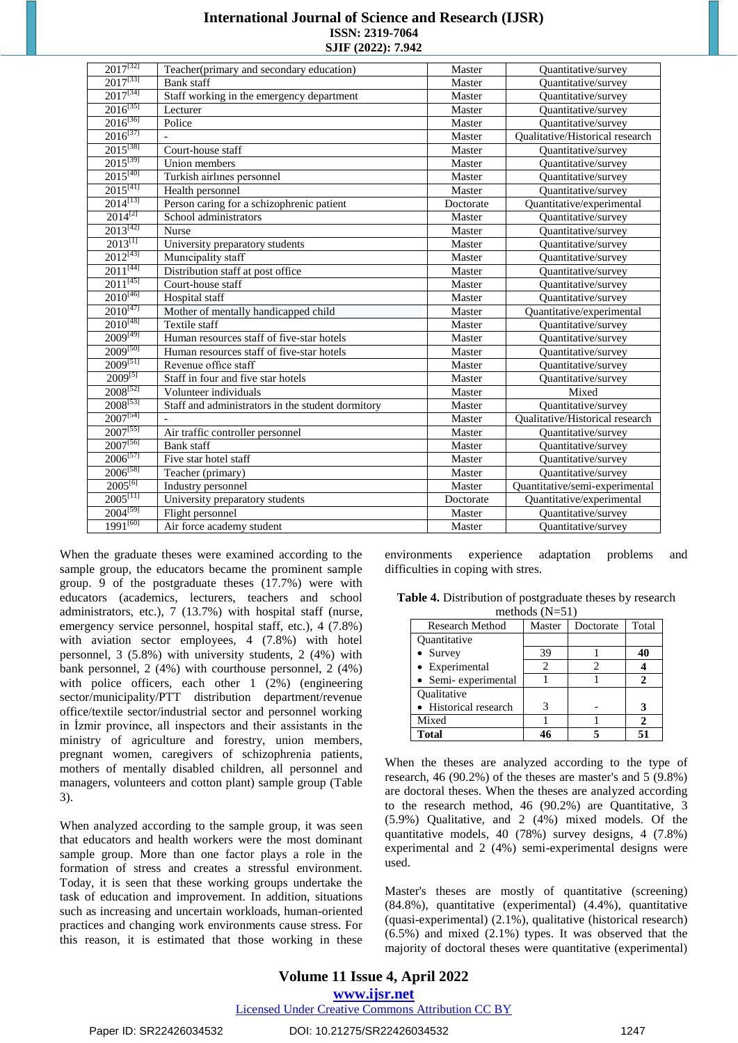| <b>International Journal of Science and Research (IJSR)</b> |
|-------------------------------------------------------------|
| <b>ISSN: 2319-7064</b>                                      |
| SJIF (2022): 7.942                                          |

| $2017^{[32]}$          | Teacher (primary and secondary education)         | Master    | Quantitative/survey                    |
|------------------------|---------------------------------------------------|-----------|----------------------------------------|
| $2017^{[33]}$          | <b>Bank</b> staff                                 | Master    | Quantitative/survey                    |
| $2017^{[34]}$          | Staff working in the emergency department         | Master    | Quantitative/survey                    |
| $2016^{[35]}$          | Lecturer                                          | Master    | <b>Ouantitative/survey</b>             |
| $2016^{[36]}$          | Police                                            | Master    | Quantitative/survey                    |
| $2016^{[37]}$          |                                                   | Master    | <b>Oualitative/Historical research</b> |
| $2015^{[38]}$          | Court-house staff                                 | Master    | Quantitative/survey                    |
| $2015^{[39]}$          | Union members                                     | Master    | Quantitative/survey                    |
| $2015^{[40]}$          | Turkish airlines personnel                        | Master    | Quantitative/survey                    |
| $2015^{[41]}$          | Health personnel                                  | Master    | Quantitative/survey                    |
| $2014$ <sup>[13]</sup> | Person caring for a schizophrenic patient         | Doctorate | Quantitative/experimental              |
| $2014^{[2]}$           | School administrators                             | Master    | Quantitative/survey                    |
| $2013^{[42]}$          | Nurse                                             | Master    | Quantitative/survey                    |
| $2013^{[1]}$           | University preparatory students                   | Master    | Quantitative/survey                    |
| $2012^{[43]}$          | Municipality staff                                | Master    | Quantitative/survey                    |
| $2011^{[44]}$          | Distribution staff at post office                 | Master    | Quantitative/survey                    |
| $2011^{[45]}$          | Court-house staff                                 | Master    | Ouantitative/survey                    |
| $2010^{[46]}$          | Hospital staff                                    | Master    | <b>Ouantitative/survey</b>             |
| $2010^{[47]}$          | Mother of mentally handicapped child              | Master    | Quantitative/experimental              |
| $2010^{[48]}$          | Textile staff                                     | Master    | <b>Ouantitative/survey</b>             |
| $2009^{[49]}$          | Human resources staff of five-star hotels         | Master    | Quantitative/survey                    |
| $2009^{[50]}$          | Human resources staff of five-star hotels         | Master    | <b>Ouantitative/survey</b>             |
| $2009^{[51]}$          | Revenue office staff                              | Master    | Quantitative/survey                    |
| $2009^{[5]}$           | Staff in four and five star hotels                | Master    | Quantitative/survey                    |
| $2008^{[52]}$          | Volunteer individuals                             | Master    | Mixed                                  |
| $2008^{[53]}$          | Staff and administrators in the student dormitory | Master    | Quantitative/survey                    |
| $2007^{[54]}$          |                                                   | Master    | <b>Oualitative/Historical research</b> |
| $2007^{[55]}$          | Air traffic controller personnel                  | Master    | <b>Ouantitative/survey</b>             |
| $2007^{[56]}$          | <b>Bank</b> staff                                 | Master    | Quantitative/survey                    |
| $2006^{[57]}$          | Five star hotel staff                             | Master    | Quantitative/survey                    |
| $2006^{[58]}$          | Teacher (primary)                                 | Master    | Quantitative/survey                    |
| $2005^{[6]}$           | Industry personnel                                | Master    | Quantitative/semi-experimental         |
| $2005^{[11]}$          | University preparatory students                   | Doctorate | Quantitative/experimental              |
| $2004^{[59]}$          | Flight personnel                                  | Master    | Quantitative/survey                    |
| $1991^{[60]}$          | Air force academy student                         | Master    | Quantitative/survey                    |

When the graduate theses were examined according to the sample group, the educators became the prominent sample group. 9 of the postgraduate theses (17.7%) were with educators (academics, lecturers, teachers and school administrators, etc.), 7 (13.7%) with hospital staff (nurse, emergency service personnel, hospital staff, etc.), 4 (7.8%) with aviation sector employees, 4 (7.8%) with hotel personnel, 3 (5.8%) with university students, 2 (4%) with bank personnel, 2 (4%) with courthouse personnel, 2 (4%) with police officers, each other 1 (2%) (engineering sector/municipality/PTT distribution department/revenue office/textile sector/industrial sector and personnel working in İzmir province, all inspectors and their assistants in the ministry of agriculture and forestry, union members, pregnant women, caregivers of schizophrenia patients, mothers of mentally disabled children, all personnel and managers, volunteers and cotton plant) sample group (Table 3).

When analyzed according to the sample group, it was seen that educators and health workers were the most dominant sample group. More than one factor plays a role in the formation of stress and creates a stressful environment. Today, it is seen that these working groups undertake the task of education and improvement. In addition, situations such as increasing and uncertain workloads, human-oriented practices and changing work environments cause stress. For this reason, it is estimated that those working in these

environments experience adaptation problems and difficulties in coping with stres.

**Table 4.** Distribution of postgraduate theses by research methods  $(N-51)$ 

| Research Method       | Master | Doctorate | Total |  |  |  |  |  |  |
|-----------------------|--------|-----------|-------|--|--|--|--|--|--|
| Quantitative          |        |           |       |  |  |  |  |  |  |
| • Survey              | 39     |           |       |  |  |  |  |  |  |
| • Experimental        | 2      |           |       |  |  |  |  |  |  |
| • Semi-experimental   |        |           |       |  |  |  |  |  |  |
| Oualitative           |        |           |       |  |  |  |  |  |  |
| • Historical research | 3      |           |       |  |  |  |  |  |  |
| Mixed                 |        |           |       |  |  |  |  |  |  |
| <b>Total</b>          |        |           |       |  |  |  |  |  |  |

When the theses are analyzed according to the type of research, 46 (90.2%) of the theses are master's and 5 (9.8%) are doctoral theses. When the theses are analyzed according to the research method, 46 (90.2%) are Quantitative, 3 (5.9%) Qualitative, and 2 (4%) mixed models. Of the quantitative models, 40 (78%) survey designs, 4 (7.8%) experimental and 2 (4%) semi-experimental designs were used.

Master's theses are mostly of quantitative (screening) (84.8%), quantitative (experimental) (4.4%), quantitative (quasi-experimental) (2.1%), qualitative (historical research) (6.5%) and mixed (2.1%) types. It was observed that the majority of doctoral theses were quantitative (experimental)

Paper ID: SR22426034532 DOI: 10.21275/SR22426034532 1247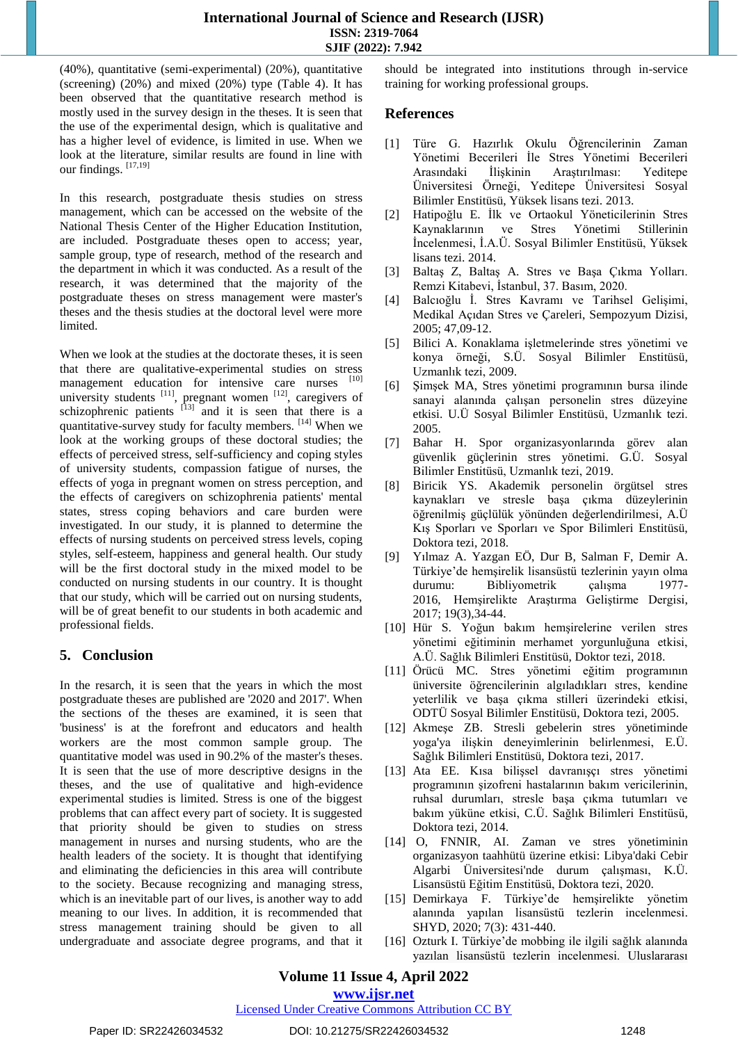(40%), quantitative (semi-experimental) (20%), quantitative (screening) (20%) and mixed (20%) type (Table 4). It has been observed that the quantitative research method is mostly used in the survey design in the theses. It is seen that the use of the experimental design, which is qualitative and has a higher level of evidence, is limited in use. When we look at the literature, similar results are found in line with our findings. [17,19]

In this research, postgraduate thesis studies on stress management, which can be accessed on the website of the National Thesis Center of the Higher Education Institution, are included. Postgraduate theses open to access; year, sample group, type of research, method of the research and the department in which it was conducted. As a result of the research, it was determined that the majority of the postgraduate theses on stress management were master's theses and the thesis studies at the doctoral level were more limited.

When we look at the studies at the doctorate theses, it is seen that there are qualitative-experimental studies on stress management education for intensive care nurses [10] university students  $\left[11\right]$ , pregnant women  $\left[12\right]$ , caregivers of schizophrenic patients  $[13]$  and it is seen that there is a quantitative-survey study for faculty members. [14] When we look at the working groups of these doctoral studies; the effects of perceived stress, self-sufficiency and coping styles of university students, compassion fatigue of nurses, the effects of yoga in pregnant women on stress perception, and the effects of caregivers on schizophrenia patients' mental states, stress coping behaviors and care burden were investigated. In our study, it is planned to determine the effects of nursing students on perceived stress levels, coping styles, self-esteem, happiness and general health. Our study will be the first doctoral study in the mixed model to be conducted on nursing students in our country. It is thought that our study, which will be carried out on nursing students, will be of great benefit to our students in both academic and professional fields.

# **5. Conclusion**

In the resarch, it is seen that the years in which the most postgraduate theses are published are '2020 and 2017'. When the sections of the theses are examined, it is seen that 'business' is at the forefront and educators and health workers are the most common sample group. The quantitative model was used in 90.2% of the master's theses. It is seen that the use of more descriptive designs in the theses, and the use of qualitative and high-evidence experimental studies is limited. Stress is one of the biggest problems that can affect every part of society. It is suggested that priority should be given to studies on stress management in nurses and nursing students, who are the health leaders of the society. It is thought that identifying and eliminating the deficiencies in this area will contribute to the society. Because recognizing and managing stress, which is an inevitable part of our lives, is another way to add meaning to our lives. In addition, it is recommended that stress management training should be given to all undergraduate and associate degree programs, and that it

should be integrated into institutions through in-service training for working professional groups.

# **References**

- [1] Türe G. Hazırlık Okulu Öğrencilerinin Zaman Yönetimi Becerileri İle Stres Yönetimi Becerileri Arasındaki İlişkinin Araştırılması: Yeditepe Üniversitesi Örneği, Yeditepe Üniversitesi Sosyal Bilimler Enstitüsü, Yüksek lisans tezi. 2013.
- [2] Hatipoğlu E. İlk ve Ortaokul Yöneticilerinin Stres Kaynaklarının ve Stres Yönetimi Stillerinin İncelenmesi, İ.A.Ü. Sosyal Bilimler Enstitüsü, Yüksek lisans tezi. 2014.
- [3] Baltaş Z, Baltaş A. Stres ve Başa Çıkma Yolları. Remzi Kitabevi, İstanbul, 37. Basım, 2020.
- [4] Balcıoğlu İ. Stres Kavramı ve Tarihsel Gelişimi, Medikal Açıdan Stres ve Çareleri, Sempozyum Dizisi, 2005; 47,09-12.
- [5] Bilici A. Konaklama işletmelerinde stres yönetimi ve konya örneği, S.Ü. Sosyal Bilimler Enstitüsü, Uzmanlık tezi, 2009.
- [6] Şimşek MA, Stres yönetimi programının bursa ilinde sanayi alanında çalışan personelin stres düzeyine etkisi. U.Ü Sosyal Bilimler Enstitüsü, Uzmanlık tezi. 2005.
- [7] Bahar H. Spor organizasyonlarında görev alan güvenlik güçlerinin stres yönetimi. G.Ü. Sosyal Bilimler Enstitüsü, Uzmanlık tezi, 2019.
- [8] Biricik YS. Akademik personelin örgütsel stres kaynakları ve stresle başa çıkma düzeylerinin öğrenilmiş güçlülük yönünden değerlendirilmesi, A.Ü Kış Sporları ve Sporları ve Spor Bilimleri Enstitüsü, Doktora tezi, 2018.
- [9] Yılmaz A. Yazgan EÖ, Dur B, Salman F, Demir A. Türkiye'de hemşirelik lisansüstü tezlerinin yayın olma durumu: Bibliyometrik çalışma 1977- 2016, Hemşirelikte Araştırma Geliştirme Dergisi, 2017; 19(3),34-44.
- [10] Hür S. Yoğun bakım hemşirelerine verilen stres yönetimi eğitiminin merhamet yorgunluğuna etkisi, A.Ü. Sağlık Bilimleri Enstitüsü, Doktor tezi, 2018.
- [11] Örücü MC. Stres yönetimi eğitim programının üniversite öğrencilerinin algıladıkları stres, kendine yeterlilik ve başa çıkma stilleri üzerindeki etkisi, ODTÜ Sosyal Bilimler Enstitüsü, Doktora tezi, 2005.
- [12] Akmeşe ZB. Stresli gebelerin stres yönetiminde yoga'ya ilişkin deneyimlerinin belirlenmesi, E.Ü. Sağlık Bilimleri Enstitüsü, Doktora tezi, 2017.
- [13] Ata EE. Kısa bilişsel davranışçı stres yönetimi programının şizofreni hastalarının bakım vericilerinin, ruhsal durumları, stresle başa çıkma tutumları ve bakım yüküne etkisi, C.Ü. Sağlık Bilimleri Enstitüsü, Doktora tezi, 2014.
- [14] O, FNNIR, AI. Zaman ve stres yönetiminin organizasyon taahhütü üzerine etkisi: Libya'daki Cebir Algarbi Üniversitesi'nde durum çalışması, K.Ü. Lisansüstü Eğitim Enstitüsü, Doktora tezi, 2020.
- [15] Demirkaya F. Türkiye'de hemşirelikte yönetim alanında yapılan lisansüstü tezlerin incelenmesi. SHYD, 2020; 7(3): 431-440.
- [16] Ozturk I. Türkiye'de mobbing ile ilgili sağlık alanında yazılan lisansüstü tezlerin incelenmesi. Uluslararası

**Volume 11 Issue 4, April 2022**

**www.ijsr.net**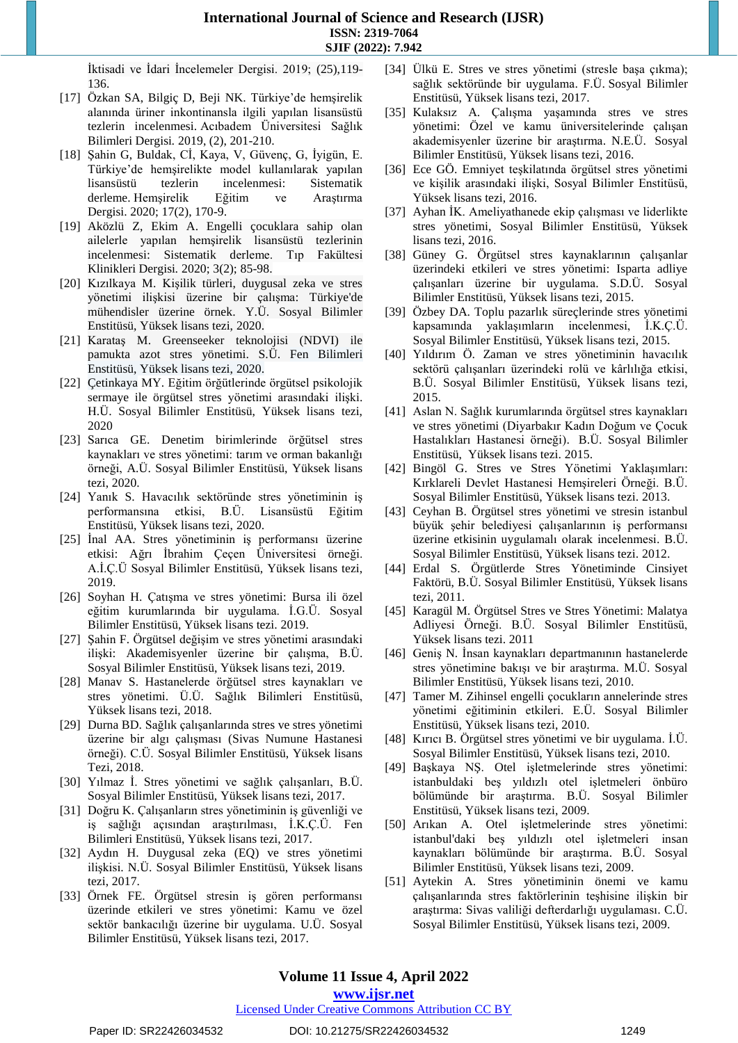İktisadi ve İdari İncelemeler Dergisi. 2019; (25),119- 136.

- [17] Özkan SA, Bilgiç D, Beji NK. Türkiye'de hemşirelik alanında üriner inkontinansla ilgili yapılan lisansüstü tezlerin incelenmesi. Acıbadem Üniversitesi Sağlık Bilimleri Dergisi*.* 2019, (2), 201-210.
- [18] Şahin G, Buldak, Cİ, Kaya, V, Güvenç, G, İyigün, E. Türkiye'de hemşirelikte model kullanılarak yapılan lisansüstü tezlerin incelenmesi: Sistematik derleme. Hemşirelik Eğitim ve Araştırma Dergisi. 2020; 17(2), 170-9.
- [19] Aközlü Z, Ekim A. Engelli çocuklara sahip olan ailelerle yapılan hemşirelik lisansüstü tezlerinin incelenmesi: Sistematik derleme. Tıp Fakültesi Klinikleri Dergisi*.* 2020; 3(2); 85-98.
- [20] Kızılkaya M. Kişilik türleri, duygusal zeka ve stres yönetimi ilişkisi üzerine bir çalışma: Türkiye'de mühendisler üzerine örnek. Y.Ü. Sosyal Bilimler Enstitüsü, Yüksek lisans tezi, 2020.
- [21] Karataş M. Greenseeker teknolojisi (NDVI) ile pamukta azot stres yönetimi. S.Ü. Fen Bilimleri Enstitüsü, Yüksek lisans tezi, 2020.
- [22] Çetinkaya MY. Eğitim örğütlerinde örgütsel psikolojik sermaye ile örgütsel stres yönetimi arasındaki ilişki. H.Ü. Sosyal Bilimler Enstitüsü, Yüksek lisans tezi, 2020
- [23] Sarıca GE. Denetim birimlerinde örğütsel stres kaynakları ve stres yönetimi: tarım ve orman bakanlığı örneği, A.Ü. Sosyal Bilimler Enstitüsü, Yüksek lisans tezi, 2020.
- [24] Yanık S. Havacılık sektöründe stres yönetiminin iş performansına etkisi, B.Ü. Lisansüstü Eğitim Enstitüsü, Yüksek lisans tezi, 2020.
- [25] İnal AA. Stres yönetiminin iş performansı üzerine etkisi: Ağrı İbrahim Çeçen Üniversitesi örneği. A.İ.Ç.Ü Sosyal Bilimler Enstitüsü, Yüksek lisans tezi, 2019.
- [26] Soyhan H. Çatışma ve stres yönetimi: Bursa ili özel eğitim kurumlarında bir uygulama. İ.G.Ü. Sosyal Bilimler Enstitüsü, Yüksek lisans tezi. 2019.
- [27] Şahin F. Örgütsel değişim ve stres yönetimi arasındaki ilişki: Akademisyenler üzerine bir çalışma, B.Ü. Sosyal Bilimler Enstitüsü, Yüksek lisans tezi, 2019.
- [28] Manav S. Hastanelerde örğütsel stres kaynakları ve stres yönetimi. Ü.Ü. Sağlık Bilimleri Enstitüsü, Yüksek lisans tezi, 2018.
- [29] Durna BD. Sağlık çalışanlarında stres ve stres yönetimi üzerine bir algı çalışması (Sivas Numune Hastanesi örneği). C.Ü. Sosyal Bilimler Enstitüsü, Yüksek lisans Tezi, 2018.
- [30] Yılmaz İ. Stres yönetimi ve sağlık çalışanları, B.Ü. Sosyal Bilimler Enstitüsü, Yüksek lisans tezi, 2017.
- [31] Doğru K. Çalışanların stres yönetiminin iş güvenliği ve iş sağlığı açısından araştırılması, İ.K.Ç.Ü. Fen Bilimleri Enstitüsü, Yüksek lisans tezi, 2017.
- [32] Aydın H. Duygusal zeka (EQ) ve stres yönetimi ilişkisi. N.Ü. Sosyal Bilimler Enstitüsü, Yüksek lisans tezi, 2017.
- [33] Örnek FE. Örgütsel stresin iş gören performansı üzerinde etkileri ve stres yönetimi: Kamu ve özel sektör bankacılığı üzerine bir uygulama. U.Ü. Sosyal Bilimler Enstitüsü, Yüksek lisans tezi, 2017.
- [34] Ülkü E. Stres ve stres yönetimi (stresle başa çıkma); sağlık sektöründe bir uygulama. F.Ü. Sosyal Bilimler Enstitüsü, Yüksek lisans tezi, 2017.
- [35] Kulaksız A. Çalışma yaşamında stres ve stres yönetimi: Özel ve kamu üniversitelerinde çalışan akademisyenler üzerine bir araştırma. N.E.Ü. Sosyal Bilimler Enstitüsü, Yüksek lisans tezi, 2016.
- [36] Ece GÖ. Emniyet teşkilatında örgütsel stres yönetimi ve kişilik arasındaki ilişki, Sosyal Bilimler Enstitüsü, Yüksek lisans tezi, 2016.
- [37] Ayhan İK. Ameliyathanede ekip çalışması ve liderlikte stres yönetimi, Sosyal Bilimler Enstitüsü, Yüksek lisans tezi, 2016.
- [38] Güney G. Örgütsel stres kaynaklarının çalışanlar üzerindeki etkileri ve stres yönetimi: Isparta adliye çalışanları üzerine bir uygulama. S.D.Ü. Sosyal Bilimler Enstitüsü, Yüksek lisans tezi, 2015.
- [39] Özbey DA. Toplu pazarlık süreçlerinde stres yönetimi kapsamında yaklaşımların incelenmesi, İ.K.Ç.Ü. Sosyal Bilimler Enstitüsü, Yüksek lisans tezi, 2015.
- [40] Yıldırım Ö. Zaman ve stres yönetiminin havacılık sektörü çalışanları üzerindeki rolü ve kârlılığa etkisi, B.Ü. Sosyal Bilimler Enstitüsü, Yüksek lisans tezi, 2015.
- [41] Aslan N. Sağlık kurumlarında örgütsel stres kaynakları ve stres yönetimi (Diyarbakır Kadın Doğum ve Çocuk Hastalıkları Hastanesi örneği). B.Ü. Sosyal Bilimler Enstitüsü, Yüksek lisans tezi. 2015.
- [42] Bingöl G. Stres ve Stres Yönetimi Yaklaşımları: Kırklareli Devlet Hastanesi Hemşireleri Örneği. B.Ü. Sosyal Bilimler Enstitüsü, Yüksek lisans tezi. 2013.
- [43] Ceyhan B. Örgütsel stres yönetimi ve stresin istanbul büyük şehir belediyesi çalışanlarının iş performansı üzerine etkisinin uygulamalı olarak incelenmesi. B.Ü. Sosyal Bilimler Enstitüsü, Yüksek lisans tezi. 2012.
- [44] Erdal S. Örgütlerde Stres Yönetiminde Cinsiyet Faktörü, B.Ü. Sosyal Bilimler Enstitüsü, Yüksek lisans tezi, 2011.
- [45] Karagül M. Örgütsel Stres ve Stres Yönetimi: Malatya Adliyesi Örneği. B.Ü. Sosyal Bilimler Enstitüsü, Yüksek lisans tezi. 2011
- [46] Geniş N. İnsan kaynakları departmanının hastanelerde stres yönetimine bakışı ve bir araştırma. M.Ü. Sosyal Bilimler Enstitüsü, Yüksek lisans tezi, 2010.
- [47] Tamer M. Zihinsel engelli çocukların annelerinde stres yönetimi eğitiminin etkileri. E.Ü. Sosyal Bilimler Enstitüsü, Yüksek lisans tezi, 2010.
- [48] Kırıcı B. Örgütsel stres yönetimi ve bir uygulama. İ.Ü. Sosyal Bilimler Enstitüsü, Yüksek lisans tezi, 2010.
- [49] Başkaya NŞ. Otel işletmelerinde stres yönetimi: istanbuldaki beş yıldızlı otel işletmeleri önbüro bölümünde bir araştırma. B.Ü. Sosyal Bilimler Enstitüsü, Yüksek lisans tezi, 2009.
- [50] Arıkan A. Otel işletmelerinde stres yönetimi: istanbul'daki beş yıldızlı otel işletmeleri insan kaynakları bölümünde bir araştırma. B.Ü. Sosyal Bilimler Enstitüsü, Yüksek lisans tezi, 2009.
- [51] Aytekin A. Stres yönetiminin önemi ve kamu çalışanlarında stres faktörlerinin teşhisine ilişkin bir araştırma: Sivas valiliği defterdarlığı uygulaması. C.Ü. Sosyal Bilimler Enstitüsü, Yüksek lisans tezi, 2009.

# **Volume 11 Issue 4, April 2022**

# **www.ijsr.net**